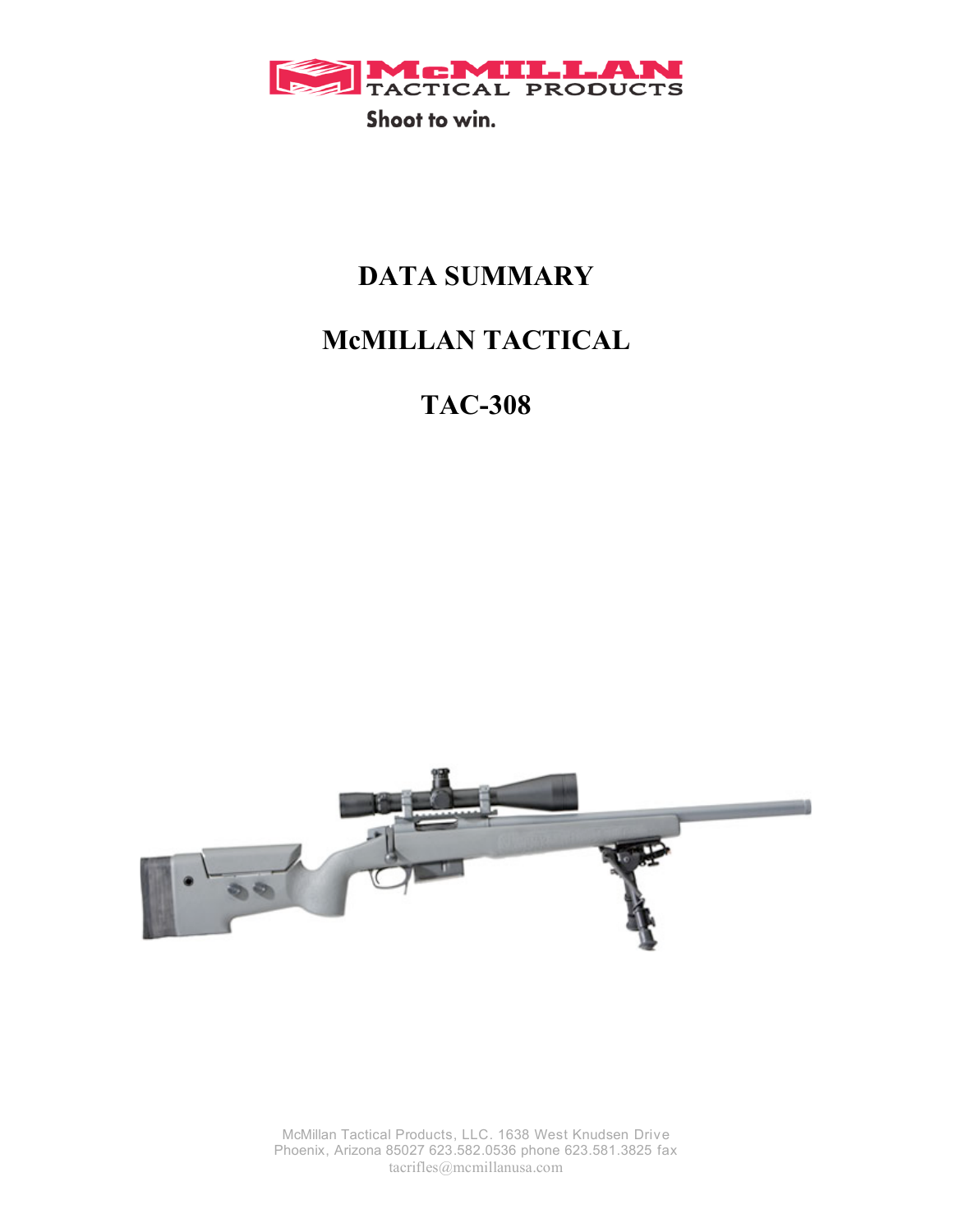

# **DATA SUMMARY**

# **McMILLAN TACTICAL**

**TAC-308**



McMillan Tactical Products, LLC. 1638 West Knudsen Drive Phoenix, Arizona 85027 623.582.0536 phone 623.581.3825 fax tacrifles@mcmillanusa.com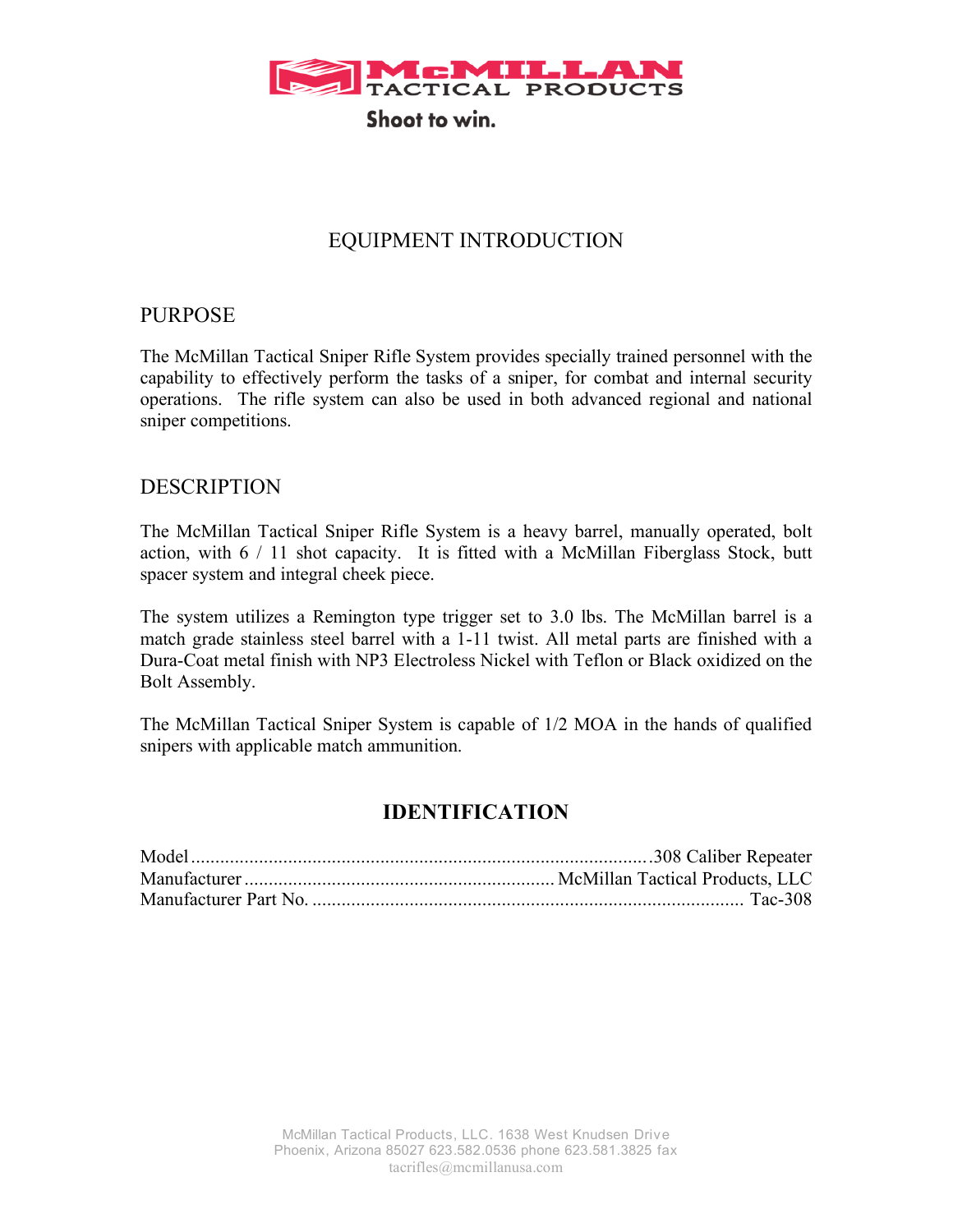

# EQUIPMENT INTRODUCTION

## PURPOSE

The McMillan Tactical Sniper Rifle System provides specially trained personnel with the capability to effectively perform the tasks of a sniper, for combat and internal security operations. The rifle system can also be used in both advanced regional and national sniper competitions.

### DESCRIPTION

The McMillan Tactical Sniper Rifle System is a heavy barrel, manually operated, bolt action, with 6 / 11 shot capacity. It is fitted with a McMillan Fiberglass Stock, butt spacer system and integral cheek piece.

The system utilizes a Remington type trigger set to 3.0 lbs. The McMillan barrel is a match grade stainless steel barrel with a 1-11 twist. All metal parts are finished with a Dura-Coat metal finish with NP3 Electroless Nickel with Teflon or Black oxidized on the Bolt Assembly.

The McMillan Tactical Sniper System is capable of 1/2 MOA in the hands of qualified snipers with applicable match ammunition.

## **IDENTIFICATION**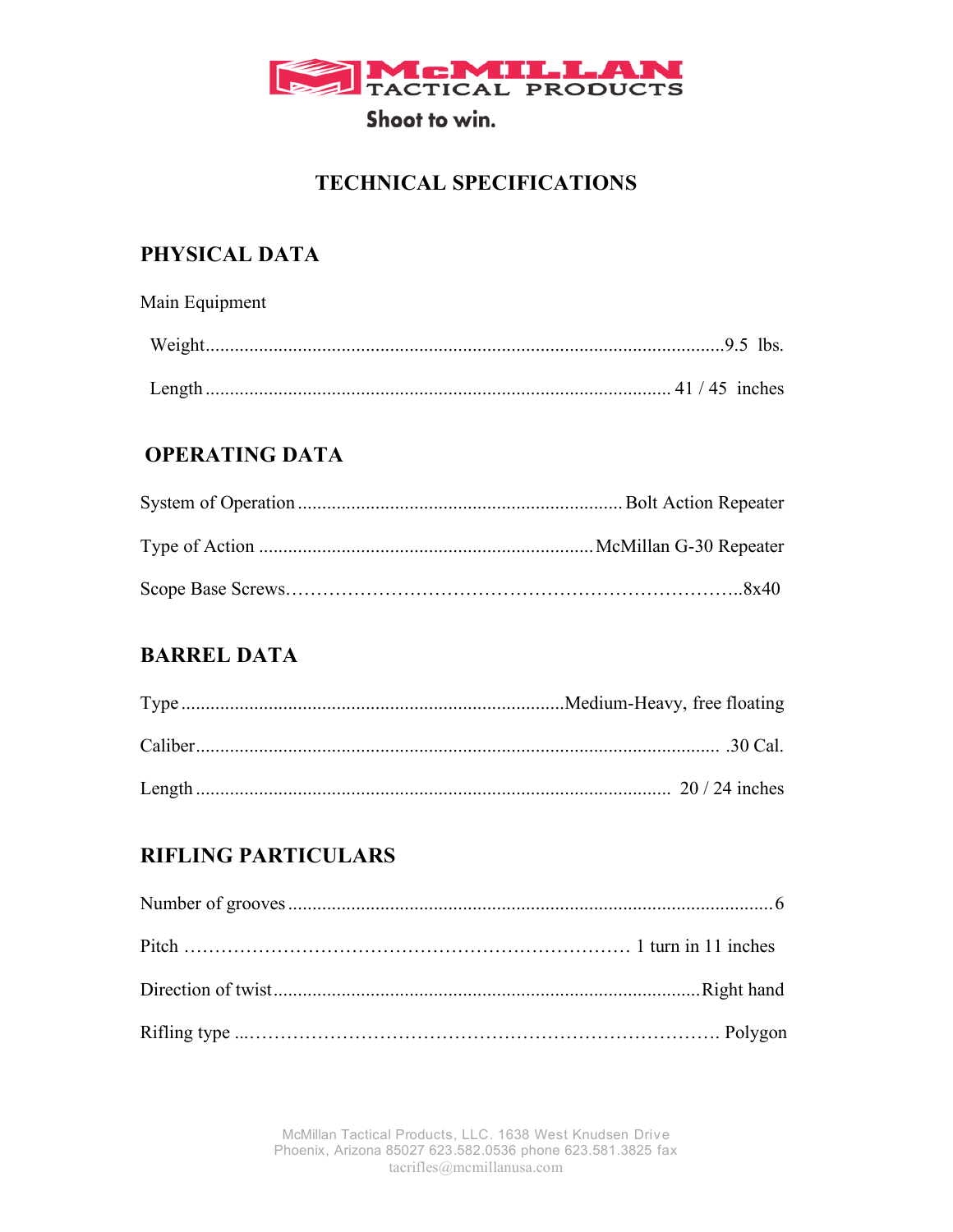

# **TECHNICAL SPECIFICATIONS**

# **PHYSICAL DATA**

Main Equipment

| Length. |  |
|---------|--|

# **OPERATING DATA**

# **BARREL DATA**

| .30 Cal. |
|----------|
|          |

# **RIFLING PARTICULARS**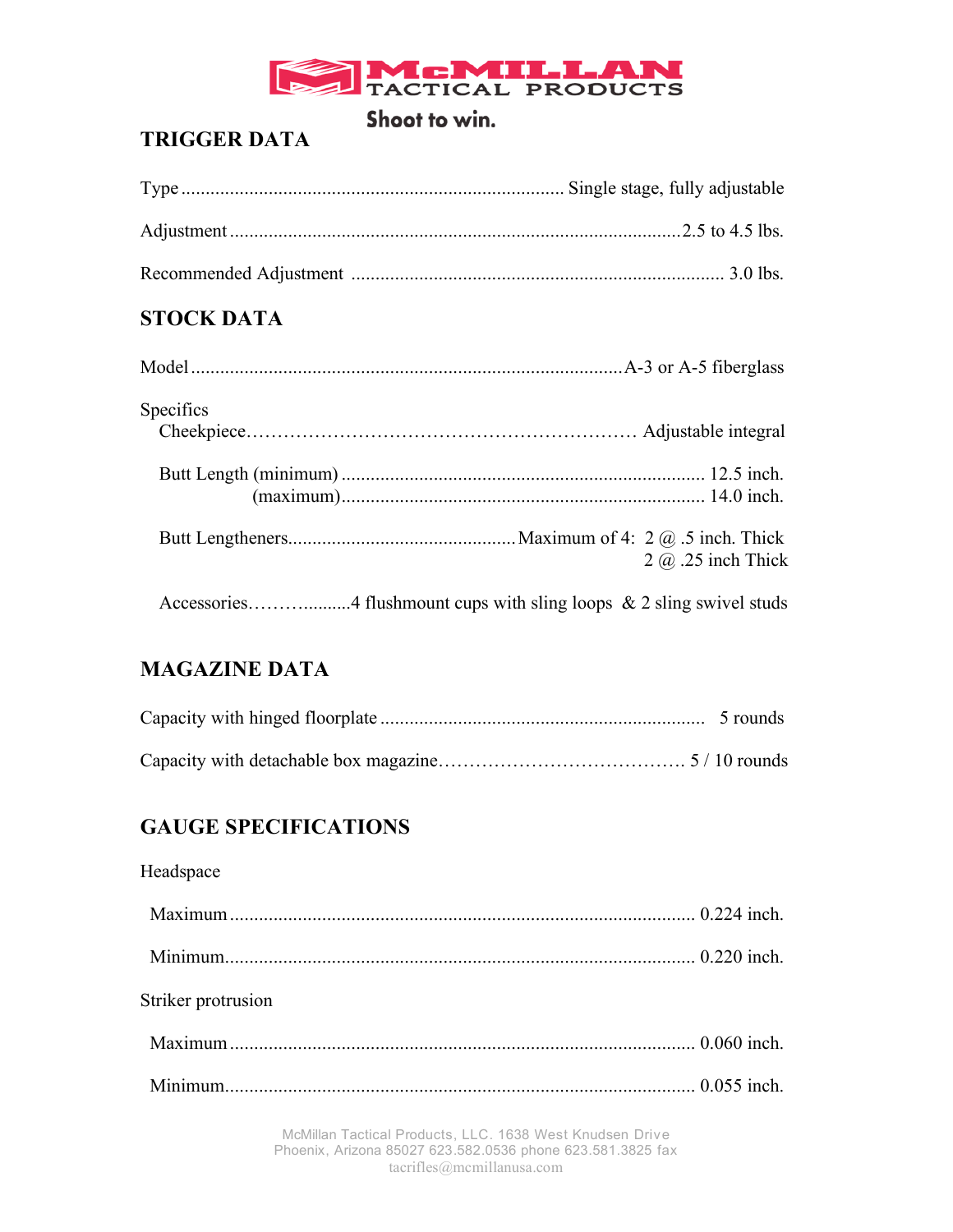

# **TRIGGER DATA**

# **STOCK DATA**

| Specifics |                           |
|-----------|---------------------------|
|           |                           |
|           |                           |
|           | $2 \omega$ .25 inch Thick |
|           |                           |

# **MAGAZINE DATA**

# **GAUGE SPECIFICATIONS**

### Headspace

| Striker protrusion |  |
|--------------------|--|
|                    |  |
|                    |  |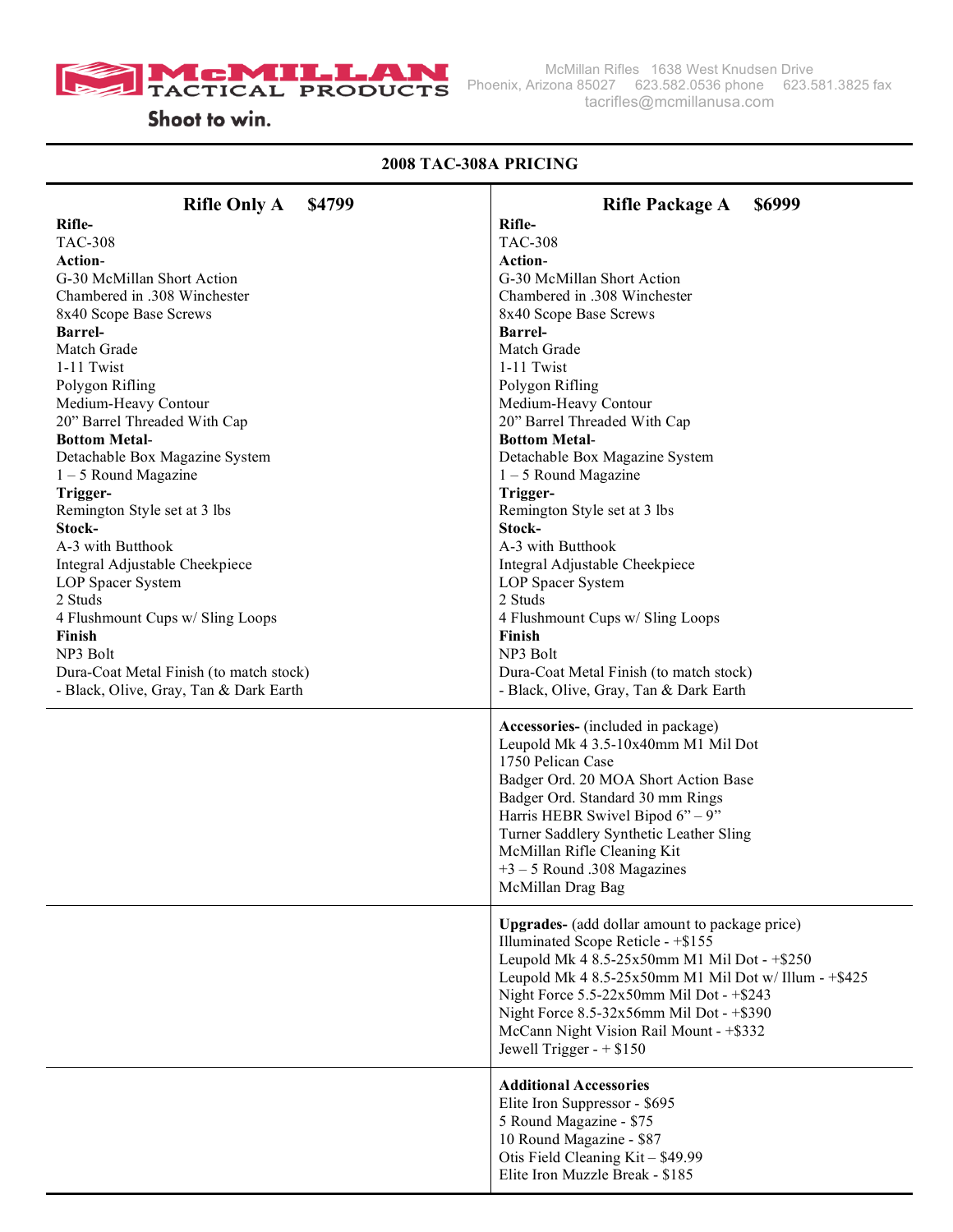

McMillan Rifles 1638 West Knudsen Drive Phoenix, Arizona 85027 623.582.0536 phone 623.581.3825 fax tacrifles@mcmillanusa.com

### **2008 TAC-308A PRICING**

| <b>Rifle Only A</b><br>\$4799                            | <b>Rifle Package A</b><br>\$6999                                                                                                                                                                                                                                                                                                                                           |
|----------------------------------------------------------|----------------------------------------------------------------------------------------------------------------------------------------------------------------------------------------------------------------------------------------------------------------------------------------------------------------------------------------------------------------------------|
| Rifle-                                                   | Rifle-                                                                                                                                                                                                                                                                                                                                                                     |
| <b>TAC-308</b>                                           | <b>TAC-308</b>                                                                                                                                                                                                                                                                                                                                                             |
| Action-                                                  | <b>Action-</b>                                                                                                                                                                                                                                                                                                                                                             |
| G-30 McMillan Short Action                               | G-30 McMillan Short Action                                                                                                                                                                                                                                                                                                                                                 |
| Chambered in .308 Winchester                             | Chambered in .308 Winchester                                                                                                                                                                                                                                                                                                                                               |
| 8x40 Scope Base Screws                                   | 8x40 Scope Base Screws                                                                                                                                                                                                                                                                                                                                                     |
| <b>Barrel-</b>                                           | <b>Barrel-</b>                                                                                                                                                                                                                                                                                                                                                             |
| Match Grade                                              | Match Grade                                                                                                                                                                                                                                                                                                                                                                |
| 1-11 Twist                                               | 1-11 Twist                                                                                                                                                                                                                                                                                                                                                                 |
| Polygon Rifling                                          | Polygon Rifling                                                                                                                                                                                                                                                                                                                                                            |
| Medium-Heavy Contour                                     | Medium-Heavy Contour                                                                                                                                                                                                                                                                                                                                                       |
| 20" Barrel Threaded With Cap                             | 20" Barrel Threaded With Cap                                                                                                                                                                                                                                                                                                                                               |
| <b>Bottom Metal-</b>                                     | <b>Bottom Metal-</b>                                                                                                                                                                                                                                                                                                                                                       |
| Detachable Box Magazine System<br>$1 - 5$ Round Magazine | Detachable Box Magazine System<br>$1 - 5$ Round Magazine                                                                                                                                                                                                                                                                                                                   |
| Trigger-                                                 | Trigger-                                                                                                                                                                                                                                                                                                                                                                   |
| Remington Style set at 3 lbs                             | Remington Style set at 3 lbs                                                                                                                                                                                                                                                                                                                                               |
| Stock-                                                   | Stock-                                                                                                                                                                                                                                                                                                                                                                     |
| A-3 with Butthook                                        | A-3 with Butthook                                                                                                                                                                                                                                                                                                                                                          |
| Integral Adjustable Cheekpiece                           | Integral Adjustable Cheekpiece                                                                                                                                                                                                                                                                                                                                             |
| LOP Spacer System                                        | LOP Spacer System                                                                                                                                                                                                                                                                                                                                                          |
| 2 Studs                                                  | 2 Studs                                                                                                                                                                                                                                                                                                                                                                    |
| 4 Flushmount Cups w/ Sling Loops                         | 4 Flushmount Cups w/ Sling Loops                                                                                                                                                                                                                                                                                                                                           |
| Finish                                                   | Finish                                                                                                                                                                                                                                                                                                                                                                     |
| NP3 Bolt                                                 | NP3 Bolt                                                                                                                                                                                                                                                                                                                                                                   |
| Dura-Coat Metal Finish (to match stock)                  | Dura-Coat Metal Finish (to match stock)                                                                                                                                                                                                                                                                                                                                    |
| - Black, Olive, Gray, Tan & Dark Earth                   | - Black, Olive, Gray, Tan & Dark Earth                                                                                                                                                                                                                                                                                                                                     |
|                                                          | Accessories- (included in package)<br>Leupold Mk 4 3.5-10x40mm M1 Mil Dot<br>1750 Pelican Case<br>Badger Ord. 20 MOA Short Action Base<br>Badger Ord. Standard 30 mm Rings<br>Harris HEBR Swivel Bipod $6" - 9"$<br>Turner Saddlery Synthetic Leather Sling<br>McMillan Rifle Cleaning Kit<br>$+3 - 5$ Round .308 Magazines<br>McMillan Drag Bag                           |
|                                                          | <b>Upgrades-</b> (add dollar amount to package price)<br>Illuminated Scope Reticle - +\$155<br>Leupold Mk 4 8.5-25x50mm M1 Mil Dot - +\$250<br>Leupold Mk 4 8.5-25x50mm M1 Mil Dot w/ Illum - +\$425<br>Night Force $5.5-22x50$ mm Mil Dot - $+ $243$<br>Night Force 8.5-32x56mm Mil Dot - +\$390<br>McCann Night Vision Rail Mount - +\$332<br>Jewell Trigger - $+$ \$150 |
|                                                          | <b>Additional Accessories</b><br>Elite Iron Suppressor - \$695<br>5 Round Magazine - \$75<br>10 Round Magazine - \$87<br>Otis Field Cleaning Kit - \$49.99<br>Elite Iron Muzzle Break - \$185                                                                                                                                                                              |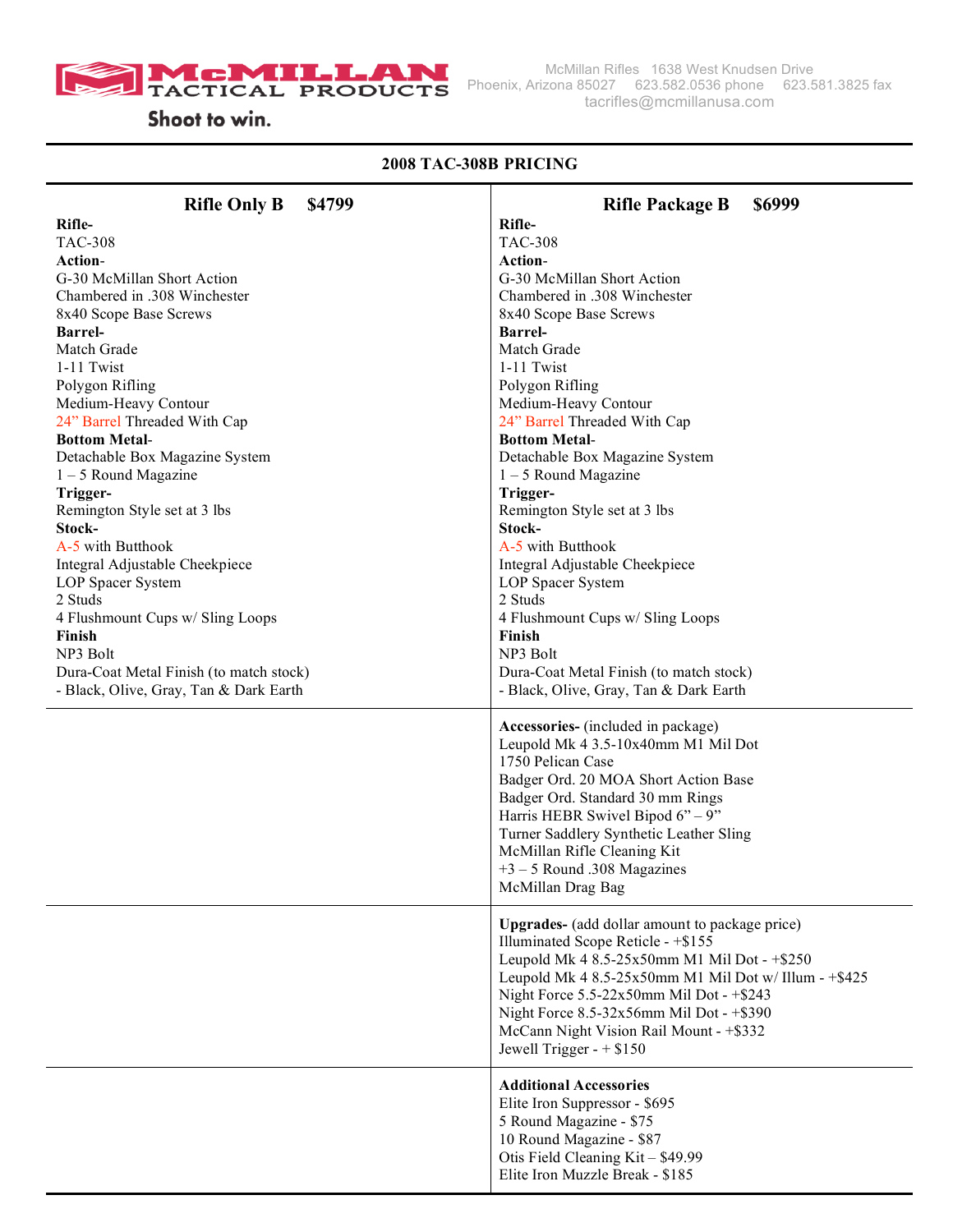

McMillan Rifles 1638 West Knudsen Drive Phoenix, Arizona 85027 623.582.0536 phone 623.581.3825 fax tacrifles@mcmillanusa.com

### **2008 TAC-308B PRICING**

| <b>Rifle Only B</b><br>\$4799                        | <b>Rifle Package B</b><br>\$6999                      |
|------------------------------------------------------|-------------------------------------------------------|
| Rifle-                                               | Rifle-                                                |
| <b>TAC-308</b>                                       | <b>TAC-308</b>                                        |
| Action-                                              | Action-                                               |
| G-30 McMillan Short Action                           | G-30 McMillan Short Action                            |
| Chambered in .308 Winchester                         | Chambered in .308 Winchester                          |
| 8x40 Scope Base Screws                               | 8x40 Scope Base Screws                                |
| <b>Barrel-</b>                                       | <b>Barrel-</b>                                        |
| Match Grade                                          | Match Grade                                           |
| 1-11 Twist                                           | 1-11 Twist                                            |
| Polygon Rifling                                      | Polygon Rifling                                       |
| Medium-Heavy Contour                                 | Medium-Heavy Contour                                  |
| 24" Barrel Threaded With Cap<br><b>Bottom Metal-</b> | 24" Barrel Threaded With Cap<br><b>Bottom Metal-</b>  |
| Detachable Box Magazine System                       | Detachable Box Magazine System                        |
| $1 - 5$ Round Magazine                               | $1 - 5$ Round Magazine                                |
| Trigger-                                             | Trigger-                                              |
| Remington Style set at 3 lbs                         | Remington Style set at 3 lbs                          |
| Stock-                                               | Stock-                                                |
| A-5 with Butthook                                    | A-5 with Butthook                                     |
| Integral Adjustable Cheekpiece                       | Integral Adjustable Cheekpiece                        |
| LOP Spacer System                                    | LOP Spacer System                                     |
| 2 Studs                                              | 2 Studs                                               |
| 4 Flushmount Cups w/ Sling Loops                     | 4 Flushmount Cups w/ Sling Loops                      |
| Finish                                               | Finish                                                |
| NP3 Bolt                                             | NP3 Bolt                                              |
| Dura-Coat Metal Finish (to match stock)              | Dura-Coat Metal Finish (to match stock)               |
| - Black, Olive, Gray, Tan & Dark Earth               | - Black, Olive, Gray, Tan & Dark Earth                |
|                                                      | Accessories- (included in package)                    |
|                                                      | Leupold Mk 4 3.5-10x40mm M1 Mil Dot                   |
|                                                      | 1750 Pelican Case                                     |
|                                                      | Badger Ord. 20 MOA Short Action Base                  |
|                                                      | Badger Ord. Standard 30 mm Rings                      |
|                                                      | Harris HEBR Swivel Bipod $6" - 9"$                    |
|                                                      | Turner Saddlery Synthetic Leather Sling               |
|                                                      | McMillan Rifle Cleaning Kit                           |
|                                                      | $+3 - 5$ Round .308 Magazines                         |
|                                                      | McMillan Drag Bag                                     |
|                                                      | <b>Upgrades-</b> (add dollar amount to package price) |
|                                                      | Illuminated Scope Reticle - +\$155                    |
|                                                      | Leupold Mk 4 8.5-25x50mm M1 Mil Dot - +\$250          |
|                                                      | Leupold Mk 4 8.5-25x50mm M1 Mil Dot w/ Illum - +\$425 |
|                                                      | Night Force 5.5-22x50mm Mil Dot - +\$243              |
|                                                      | Night Force 8.5-32x56mm Mil Dot - +\$390              |
|                                                      | McCann Night Vision Rail Mount - +\$332               |
|                                                      | Jewell Trigger - $+$ \$150                            |
|                                                      | <b>Additional Accessories</b>                         |
|                                                      | Elite Iron Suppressor - \$695                         |
|                                                      | 5 Round Magazine - \$75                               |
|                                                      | 10 Round Magazine - \$87                              |
|                                                      | Otis Field Cleaning Kit - \$49.99                     |
|                                                      | Elite Iron Muzzle Break - \$185                       |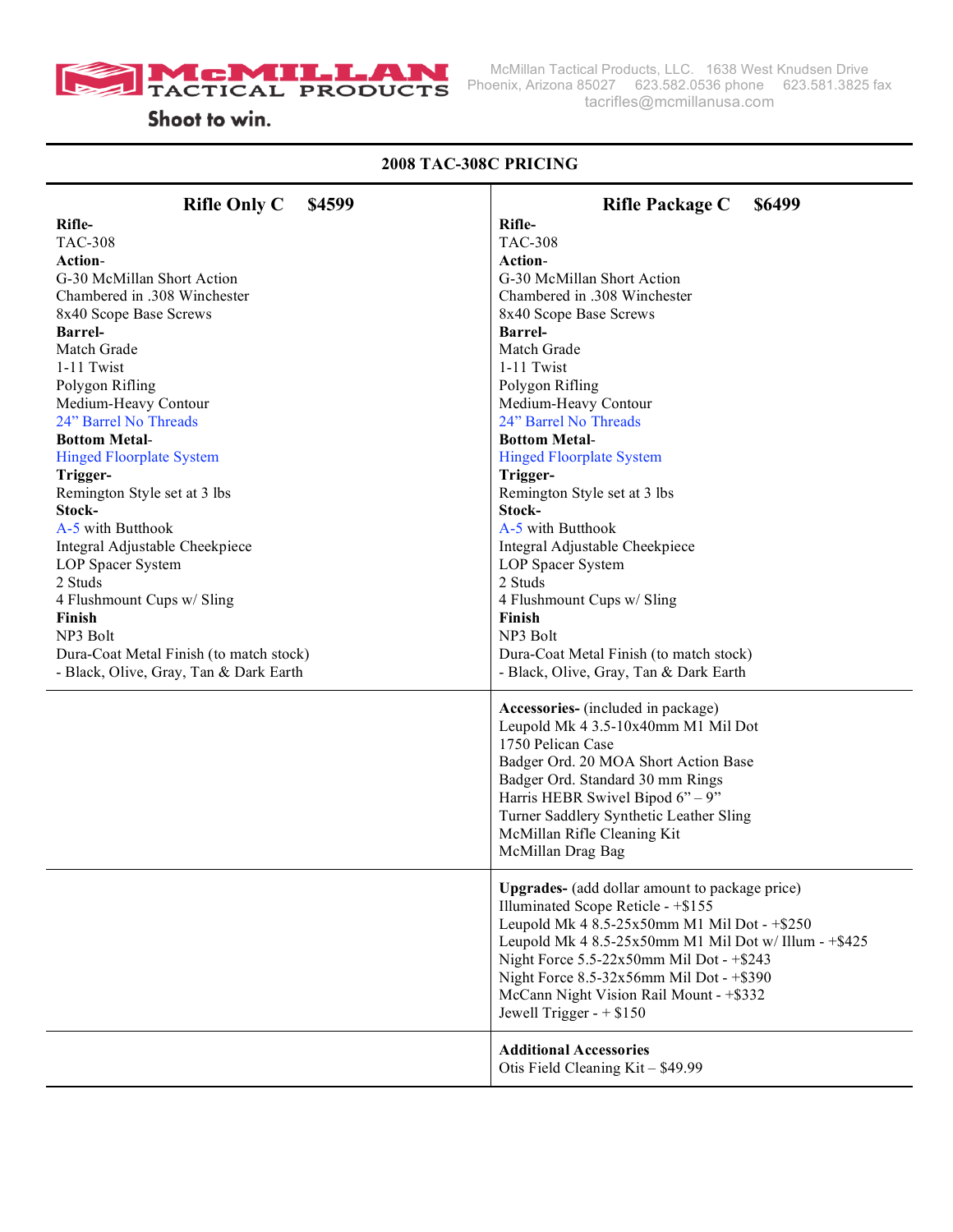

McMillan Tactical Products, LLC. 1638 West Knudsen Drive Phoenix, Arizona 85027 623.582.0536 phone 623.581.3825 fax tacrifles@mcmillanusa.com

### **2008 TAC-308C PRICING**

| <b>Rifle Only C</b><br>\$4599           | <b>Rifle Package C</b><br>\$6499                                          |
|-----------------------------------------|---------------------------------------------------------------------------|
| Rifle-                                  | Rifle-                                                                    |
| <b>TAC-308</b>                          | <b>TAC-308</b>                                                            |
| <b>Action-</b>                          | <b>Action-</b>                                                            |
| G-30 McMillan Short Action              | G-30 McMillan Short Action                                                |
| Chambered in .308 Winchester            | Chambered in .308 Winchester                                              |
| 8x40 Scope Base Screws                  | 8x40 Scope Base Screws                                                    |
| <b>Barrel-</b>                          | <b>Barrel-</b>                                                            |
| Match Grade                             | Match Grade                                                               |
| 1-11 Twist                              | 1-11 Twist                                                                |
| Polygon Rifling                         | Polygon Rifling                                                           |
| Medium-Heavy Contour                    | Medium-Heavy Contour                                                      |
| 24" Barrel No Threads                   | 24" Barrel No Threads                                                     |
| <b>Bottom Metal-</b>                    | <b>Bottom Metal-</b>                                                      |
| <b>Hinged Floorplate System</b>         | <b>Hinged Floorplate System</b>                                           |
| Trigger-                                | Trigger-                                                                  |
| Remington Style set at 3 lbs            | Remington Style set at 3 lbs                                              |
| Stock-                                  | Stock-                                                                    |
| A-5 with Butthook                       | A-5 with Butthook                                                         |
| Integral Adjustable Cheekpiece          | Integral Adjustable Cheekpiece                                            |
| LOP Spacer System                       | LOP Spacer System                                                         |
| 2 Studs                                 | 2 Studs                                                                   |
| 4 Flushmount Cups w/ Sling              | 4 Flushmount Cups w/ Sling                                                |
| Finish                                  | Finish                                                                    |
| NP3 Bolt                                | NP3 Bolt                                                                  |
| Dura-Coat Metal Finish (to match stock) | Dura-Coat Metal Finish (to match stock)                                   |
| - Black, Olive, Gray, Tan & Dark Earth  | - Black, Olive, Gray, Tan & Dark Earth                                    |
|                                         |                                                                           |
|                                         | Accessories- (included in package)<br>Leupold Mk 4 3.5-10x40mm M1 Mil Dot |
|                                         | 1750 Pelican Case                                                         |
|                                         | Badger Ord. 20 MOA Short Action Base                                      |
|                                         | Badger Ord. Standard 30 mm Rings                                          |
|                                         | Harris HEBR Swivel Bipod $6" - 9"$                                        |
|                                         | Turner Saddlery Synthetic Leather Sling                                   |
|                                         | McMillan Rifle Cleaning Kit                                               |
|                                         | McMillan Drag Bag                                                         |
|                                         |                                                                           |
|                                         | <b>Upgrades-</b> (add dollar amount to package price)                     |
|                                         | Illuminated Scope Reticle - +\$155                                        |
|                                         | Leupold Mk 4 8.5-25x50mm M1 Mil Dot - +\$250                              |
|                                         | Leupold Mk 4 8.5-25x50mm M1 Mil Dot w/ Illum - +\$425                     |
|                                         | Night Force 5.5-22x50mm Mil Dot - +\$243                                  |
|                                         | Night Force 8.5-32x56mm Mil Dot - +\$390                                  |
|                                         | McCann Night Vision Rail Mount - +\$332                                   |
|                                         | Jewell Trigger - $+$ \$150                                                |
|                                         | <b>Additional Accessories</b>                                             |
|                                         | Otis Field Cleaning Kit - \$49.99                                         |
|                                         |                                                                           |